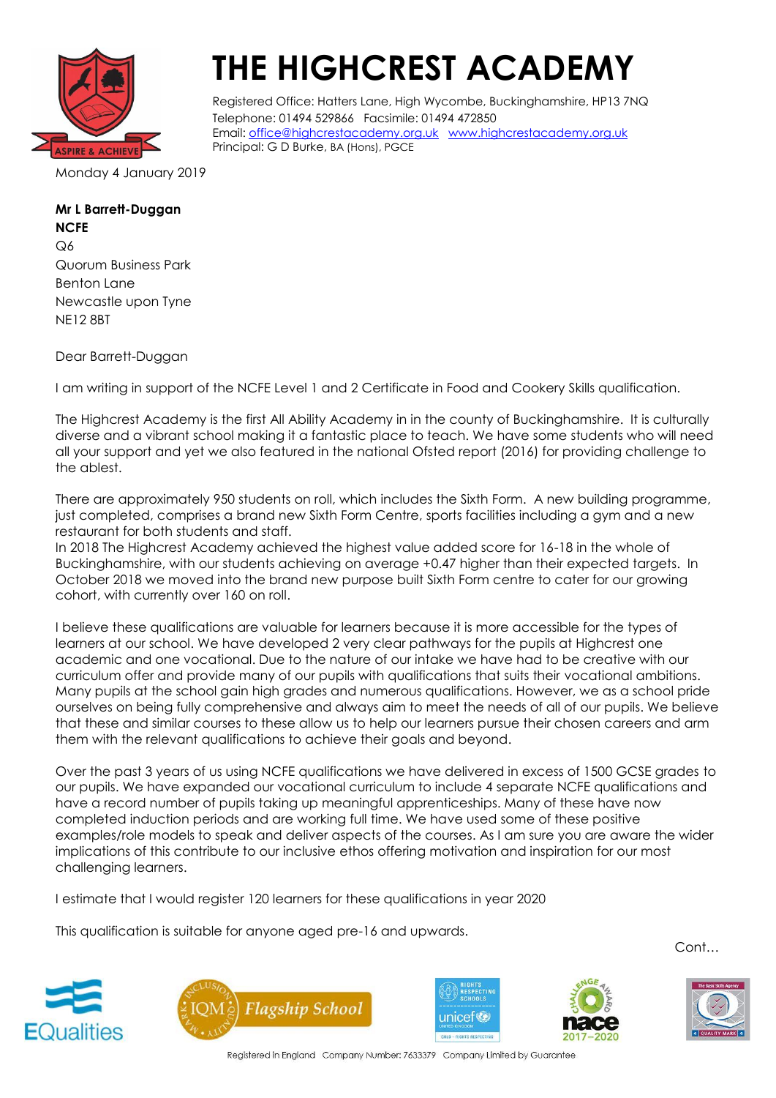

## **THE HIGHCREST ACADEMY**

Registered Office: Hatters Lane, High Wycombe, Buckinghamshire, HP13 7NQ Telephone: 01494 529866 Facsimile: 01494 472850 Email: [office@highcrestacademy.org.uk](mailto:office@highcrestacademy.org.uk) [www.highcrestacademy.org.uk](http://www.highcrestacademy.org.uk/) Principal: G D Burke, BA (Hons), PGCE

Monday 4 January 2019

## **Mr L Barrett-Duggan**

**NCFE** Q6 Quorum Business Park Benton Lane Newcastle upon Tyne NE12 8BT

Dear Barrett-Duggan

I am writing in support of the NCFE Level 1 and 2 Certificate in Food and Cookery Skills qualification.

The Highcrest Academy is the first All Ability Academy in in the county of Buckinghamshire. It is culturally diverse and a vibrant school making it a fantastic place to teach. We have some students who will need all your support and yet we also featured in the national Ofsted report (2016) for providing challenge to the ablest.

There are approximately 950 students on roll, which includes the Sixth Form. A new building programme, just completed, comprises a brand new Sixth Form Centre, sports facilities including a gym and a new restaurant for both students and staff.

In 2018 The Highcrest Academy achieved the highest value added score for 16-18 in the whole of Buckinghamshire, with our students achieving on average +0.47 higher than their expected targets. In October 2018 we moved into the brand new purpose built Sixth Form centre to cater for our growing cohort, with currently over 160 on roll.

I believe these qualifications are valuable for learners because it is more accessible for the types of learners at our school. We have developed 2 very clear pathways for the pupils at Highcrest one academic and one vocational. Due to the nature of our intake we have had to be creative with our curriculum offer and provide many of our pupils with qualifications that suits their vocational ambitions. Many pupils at the school gain high grades and numerous qualifications. However, we as a school pride ourselves on being fully comprehensive and always aim to meet the needs of all of our pupils. We believe that these and similar courses to these allow us to help our learners pursue their chosen careers and arm them with the relevant qualifications to achieve their goals and beyond.

Over the past 3 years of us using NCFE qualifications we have delivered in excess of 1500 GCSE grades to our pupils. We have expanded our vocational curriculum to include 4 separate NCFE qualifications and have a record number of pupils taking up meaningful apprenticeships. Many of these have now completed induction periods and are working full time. We have used some of these positive examples/role models to speak and deliver aspects of the courses. As I am sure you are aware the wider implications of this contribute to our inclusive ethos offering motivation and inspiration for our most challenging learners.

I estimate that I would register 120 learners for these qualifications in year 2020

This qualification is suitable for anyone aged pre-16 and upwards.